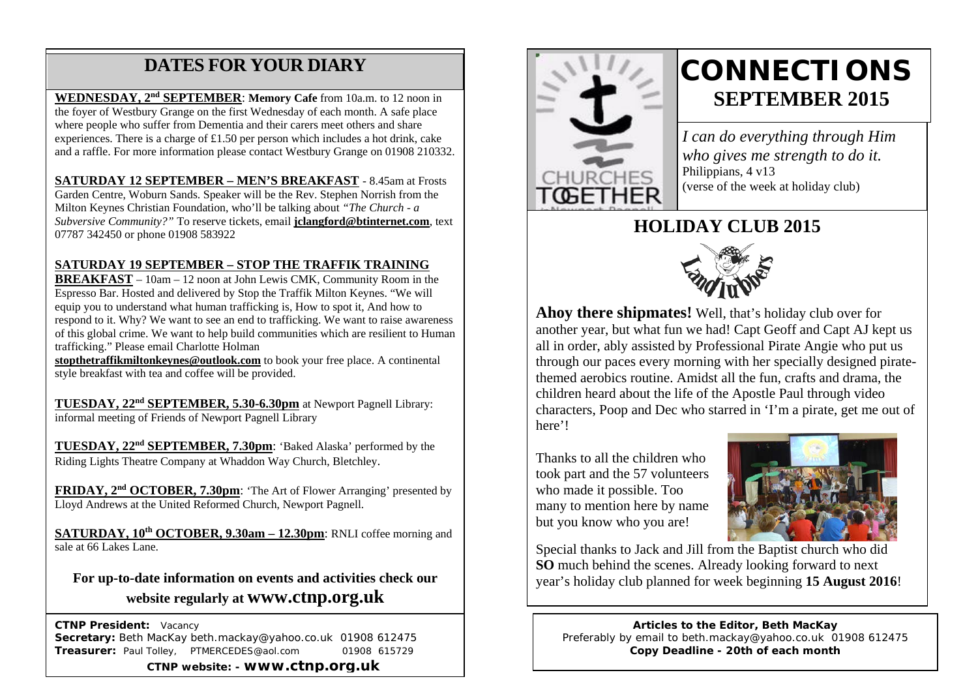## **DATES FOR YOUR DIARY**

 experiences. There is a charge of £1.50 per person which includes a hot drink, cake and a raffle. For more information please contact Westbury Grange on 01908 210332. **WEDNESDAY, 2nd SEPTEMBER**: **Memory Cafe** from 10a.m. to 12 noon in the foyer of Westbury Grange on the first Wednesday of each month. A safe place where people who suffer from Dementia and their carers meet others and share

**SATURDAY 12 SEPTEMBER – MEN'S BREAKFAST** - 8.45am at Frosts Garden Centre, Woburn Sands. Speaker will be the Rev. Stephen Norrish from the Milton Keynes Christian Foundation, who'll be talking about *"The Church - a Subversive Community?"* To reserve tickets, email **jclangford@btinternet.com**, text 07787 342450 or phone 01908 583922

#### **SATURDAY 19 SEPTEMBER – STOP THE TRAFFIK TRAINING**

**BREAKFAST** – 10am – 12 noon at John Lewis CMK, Community Room in the Espresso Bar. Hosted and delivered by Stop the Traffik Milton Keynes. "We will equip you to understand what human trafficking is, How to spot it, And how to respond to it. Why? We want to see an end to trafficking. We want to raise awareness of this global crime. We want to help build communities which are resilient to Human trafficking." Please email Charlotte Holman

**stopthetraffikmiltonkeynes@outlook.com** to book your free place. A continental style breakfast with tea and coffee will be provided.

**TUESDAY, 22nd SEPTEMBER, 5.30-6.30pm** at Newport Pagnell Library: informal meeting of Friends of Newport Pagnell Library

**TUESDAY, 22nd SEPTEMBER, 7.30pm**: 'Baked Alaska' performed by the Riding Lights Theatre Company at Whaddon Way Church, Bletchley.

**FRIDAY, 2nd OCTOBER, 7.30pm**: 'The Art of Flower Arranging' presented by Lloyd Andrews at the United Reformed Church, Newport Pagnell.

**SATURDAY, 10th OCTOBER, 9.30am – 12.30pm**: RNLI coffee morning and sale at 66 Lakes Lane.

**For up-to-date information on events and activities check our website regularly at www.ctnp.org.uk**

 **CTNP President:** Vacancy **Secretary:** Beth MacKay beth.mackay@yahoo.co.uk 01908 612475 **Treasurer:** Paul Tolley, PTMERCEDES@aol.com 01908 615729 **CTNP website: - www.ctnp.org.uk**



# **CONNECTIONS SEPTEMBER 2015**

*I can do everything through Him who gives me strength to do it.* Philippians, 4 v13 (verse of the week at holiday club)

### **HOLIDAY CLUB 2015**



**Ahoy there shipmates!** Well, that's holiday club over for another year, but what fun we had! Capt Geoff and Capt AJ kept us all in order, ably assisted by Professional Pirate Angie who put us through our paces every morning with her specially designed piratethemed aerobics routine. Amidst all the fun, crafts and drama, the children heard about the life of the Apostle Paul through video characters, Poop and Dec who starred in 'I'm a pirate, get me out of here'!

Thanks to all the children who took part and the 57 volunteers who made it possible. Too many to mention here by name but you know who you are!



Special thanks to Jack and Jill from the Baptist church who did **SO** much behind the scenes. Already looking forward to next year's holiday club planned for week beginning **15 August 2016**!

**Articles to the Editor, Beth MacKay** Preferably by email to beth.mackay@yahoo.co.uk 01908 612475 **Copy Deadline - 20th of each month**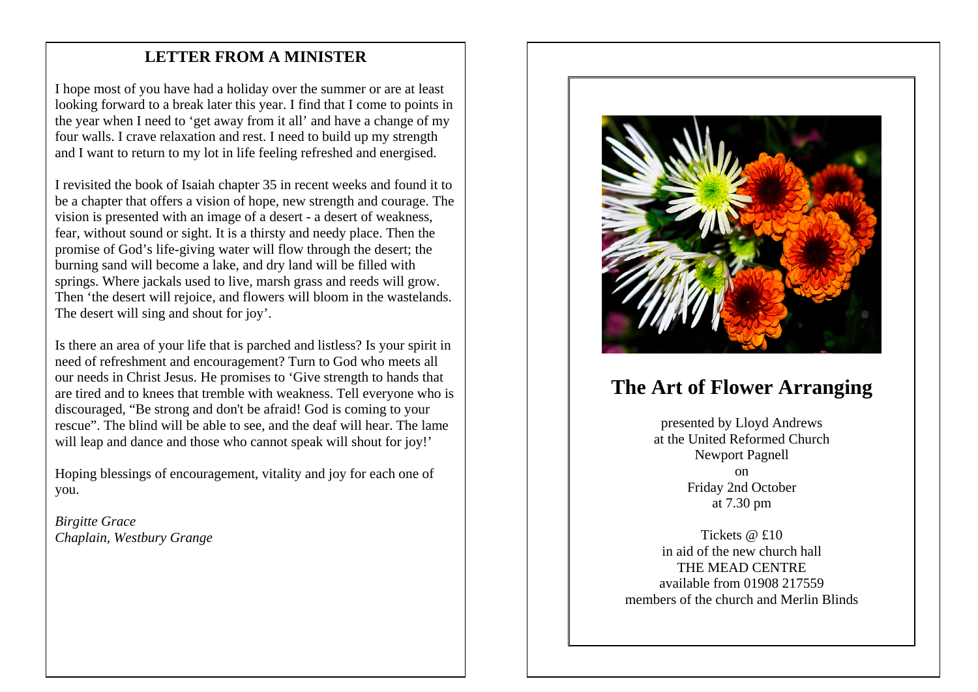#### mee **LETTER FROM A MINISTER**

I hope most of you have had a holiday over the summer or are at least looking forward to a break later this year. I find that I come to points in the year when I need to 'get away from it all' and have a change of my four walls. I crave relaxation and rest. I need to build up my strength and I want to return to my lot in life feeling refreshed and energised.

I revisited the book of Isaiah chapter 35 in recent weeks and found it to be a chapter that offers a vision of hope, new strength and courage. The vision is presented with an image of a desert - a desert of weakness, fear, without sound or sight. It is a thirsty and needy place. Then the promise of God's life-giving water will flow through the desert; the burning sand will become a lake, and dry land will be filled with springs. Where jackals used to live, marsh grass and reeds will grow. Then 'the desert will rejoice, and flowers will bloom in the wastelands. The desert will sing and shout for joy'.

Is there an area of your life that is parched and listless? Is your spirit in need of refreshment and encouragement? Turn to God who meets all our needs in Christ Jesus. He promises to 'Give strength to hands that are tired and to knees that tremble with weakness. Tell everyone who is discouraged, "Be strong and don't be afraid! God is coming to your rescue". The blind will be able to see, and the deaf will hear. The lame will leap and dance and those who cannot speak will shout for joy!'

Hoping blessings of encouragement, vitality and joy for each one of you.

*Birgitte Grace Chaplain, Westbury Grange*



## **The Art of Flower Arranging**

presented by Lloyd Andrews at the United Reformed Church Newport Pagnell on Friday 2nd October at 7.30 pm

Tickets @ £10 in aid of the new church hall THE MEAD CENTRE available from 01908 217559 members of the church and Merlin Blinds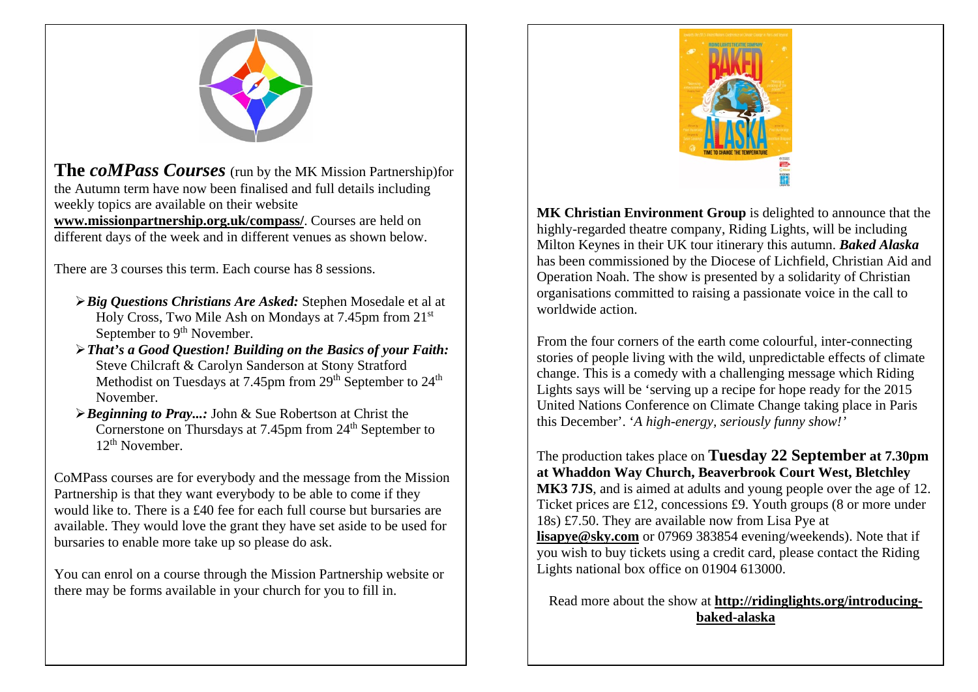

**The** *coMPass Courses* (run by the MK Mission Partnership)for the Autumn term have now been finalised and full details including weekly topics are available on their website

**[www.missionpartnership.org.uk/compass/](http://www.missionpartnership.org.uk/compass/)**. Courses are held on different days of the week and in different venues as shown below.

There are 3 courses this term. Each course has 8 sessions.

- *Big Questions Christians Are Asked:* Stephen Mosedale et al at Holy Cross, Two Mile Ash on Mondays at 7.45pm from 21st September to 9<sup>th</sup> November.
- *That's a Good Question! Building on the Basics of your Faith:*  Steve Chilcraft & Carolyn Sanderson at Stony Stratford Methodist on Tuesdays at 7.45pm from 29<sup>th</sup> September to 24<sup>th</sup> November.
- *Beginning to Pray...:* John & Sue Robertson at Christ the Cornerstone on Thursdays at 7.45pm from 24<sup>th</sup> September to 12th November.

CoMPass courses are for everybody and the message from the Mission Partnership is that they want everybody to be able to come if they would like to. There is a £40 fee for each full course but bursaries are available. They would love the grant they have set aside to be used for bursaries to enable more take up so please do ask.

You can enrol on a course through the Mission Partnership website or there may be forms available in your church for you to fill in.



**MK Christian Environment Group** is delighted to announce that the highly-regarded theatre company, Riding Lights, will be including Milton Keynes in their UK tour itinerary this autumn. *Baked Alaska* has been commissioned by the Diocese of Lichfield, Christian Aid and Operation Noah. The show is presented by a solidarity of Christian organisations committed to raising a passionate voice in the call to worldwide action.

From the four corners of the earth come colourful, inter-connecting stories of people living with the wild, unpredictable effects of climate change. This is a comedy with a challenging message which Riding Lights says will be 'serving up a recipe for hope ready for the 2015 United Nations Conference on Climate Change taking place in Paris this December'. '*A high-energy, seriously funny show!'*

The production takes place on **Tuesday 22 September at 7.30pm at Whaddon Way Church, Beaverbrook Court West, Bletchley MK3 7JS**, and is aimed at adults and young people over the age of 12. Ticket prices are £12, concessions £9. Youth groups (8 or more under 18s) £7.50. They are available now from Lisa Pye at **[lisapye@sky.com](mailto:lisapye@sky.com)** or 07969 383854 evening/weekends). Note that if you wish to buy tickets using a credit card, please contact the Riding Lights national box office on 01904 613000.

Read more about the show at **[http://ridinglights.org/introducing](http://ridinglights.org/introducing-baked-alaska)[baked-alaska](http://ridinglights.org/introducing-baked-alaska)**